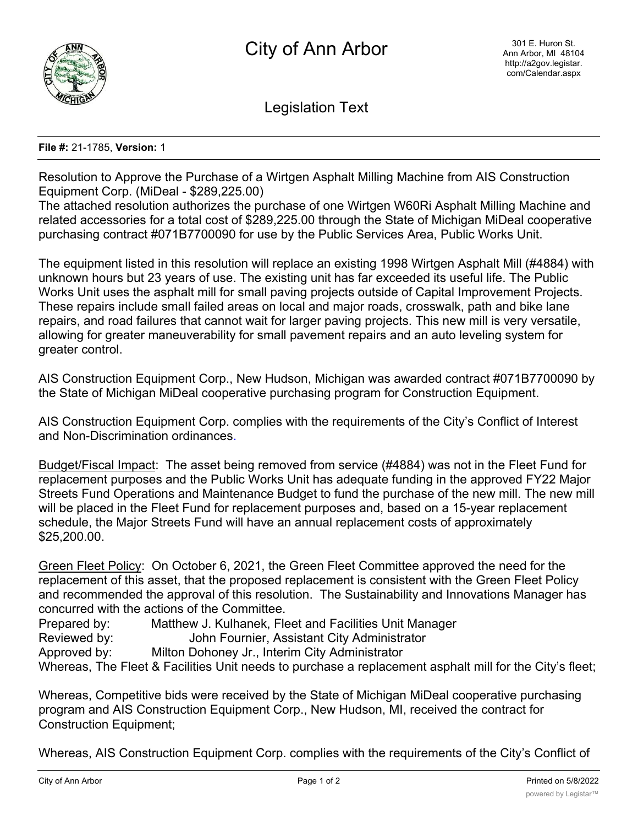

Legislation Text

## **File #:** 21-1785, **Version:** 1

Resolution to Approve the Purchase of a Wirtgen Asphalt Milling Machine from AIS Construction Equipment Corp. (MiDeal - \$289,225.00)

The attached resolution authorizes the purchase of one Wirtgen W60Ri Asphalt Milling Machine and related accessories for a total cost of \$289,225.00 through the State of Michigan MiDeal cooperative purchasing contract #071B7700090 for use by the Public Services Area, Public Works Unit.

The equipment listed in this resolution will replace an existing 1998 Wirtgen Asphalt Mill (#4884) with unknown hours but 23 years of use. The existing unit has far exceeded its useful life. The Public Works Unit uses the asphalt mill for small paving projects outside of Capital Improvement Projects. These repairs include small failed areas on local and major roads, crosswalk, path and bike lane repairs, and road failures that cannot wait for larger paving projects. This new mill is very versatile, allowing for greater maneuverability for small pavement repairs and an auto leveling system for greater control.

AIS Construction Equipment Corp., New Hudson, Michigan was awarded contract #071B7700090 by the State of Michigan MiDeal cooperative purchasing program for Construction Equipment.

AIS Construction Equipment Corp. complies with the requirements of the City's Conflict of Interest and Non-Discrimination ordinances.

Budget/Fiscal Impact: The asset being removed from service (#4884) was not in the Fleet Fund for replacement purposes and the Public Works Unit has adequate funding in the approved FY22 Major Streets Fund Operations and Maintenance Budget to fund the purchase of the new mill. The new mill will be placed in the Fleet Fund for replacement purposes and, based on a 15-year replacement schedule, the Major Streets Fund will have an annual replacement costs of approximately \$25,200.00.

Green Fleet Policy: On October 6, 2021, the Green Fleet Committee approved the need for the replacement of this asset, that the proposed replacement is consistent with the Green Fleet Policy and recommended the approval of this resolution. The Sustainability and Innovations Manager has concurred with the actions of the Committee.

Prepared by: Matthew J. Kulhanek, Fleet and Facilities Unit Manager

Reviewed by: John Fournier, Assistant City Administrator

Approved by: Milton Dohoney Jr., Interim City Administrator

Whereas, The Fleet & Facilities Unit needs to purchase a replacement asphalt mill for the City's fleet;

Whereas, Competitive bids were received by the State of Michigan MiDeal cooperative purchasing program and AIS Construction Equipment Corp., New Hudson, MI, received the contract for Construction Equipment;

Whereas, AIS Construction Equipment Corp. complies with the requirements of the City's Conflict of